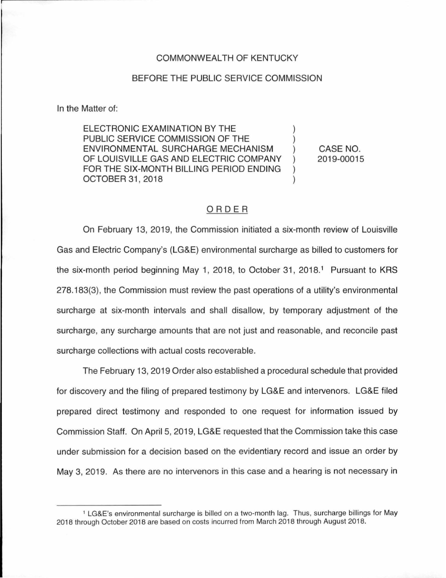### COMMONWEALTH OF KENTUCKY

#### BEFORE THE PUBLIC SERVICE COMMISSION

In the Matter of:

ELECTRONIC EXAMINATION BY THE PUBLIC SERVICE COMMISSION OF THE ENVIRONMENTAL SURCHARGE MECHANISM ) OF LOUISVILLE GAS AND ELECTRIC COMPANY FOR THE SIX-MONTH BILLING PERIOD ENDING OCTOBER 31, 2018

CASE NO. 2019-00015

## ORDER

On February 13, 2019, the Commission initiated a six-month review of Louisville Gas and Electric Company's (LG&E) environmental surcharge as billed to customers for the six-month period beginning May 1, 2018, to October 31, 2018. 1 Pursuant to KRS 278.183(3), the Commission must review the past operations of a utility's environmental surcharge at six-month intervals and shall disallow, by temporary adjustment of the surcharge, any surcharge amounts that are not just and reasonable, and reconcile past surcharge collections with actual costs recoverable.

The February 13, 2019 Order also established a procedural schedule that provided for discovery and the filing of prepared testimony by LG&E and intervenors. LG&E filed prepared direct testimony and responded to one request for information issued by Commission Staff. On April 5, 2019, LG&E requested that the Commission take this case under submission for a decision based on the evidentiary record and issue an order by May 3, 2019. As there are no intervenors in this case and a hearing is not necessary in

<sup>1</sup>LG&E's environmental surcharge is billed on a two-month lag. Thus, surcharge billings for May 2018 through October 2018 are based on costs incurred from March 2018 through August 2018.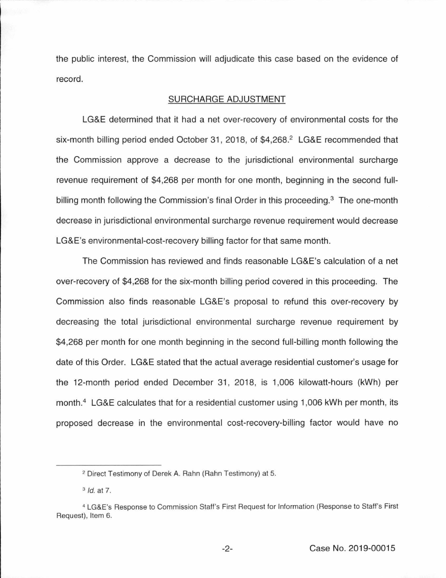the public interest, the Commission will adjudicate this case based on the evidence of record.

#### SURCHARGE ADJUSTMENT

LG&E determined that it had a net over-recovery of environmental costs for the six-month billing period ended October 31, 2018, of \$4,268.<sup>2</sup> LG&E recommended that the Commission approve a decrease to the jurisdictional environmental surcharge revenue requirement of \$4,268 per month for one month, beginning in the second fullbilling month following the Commission's final Order in this proceeding. $3$  The one-month decrease in jurisdictional environmental surcharge revenue requirement would decrease LG&E's environmental-cost-recovery billing factor for that same month.

The Commission has reviewed and finds reasonable LG&E's calculation of a net over-recovery of \$4,268 for the six-month billing period covered in this proceeding. The Commission also finds reasonable LG&E's proposal to refund this over-recovery by decreasing the total jurisdictional environmental surcharge revenue requirement by \$4,268 per month for one month beginning in the second full-billing month following the date of this Order. LG&E stated that the actual average residential customer's usage for the 12-month period ended December 31 , 2018, is 1 ,006 kilowatt-hours (kWh) per month.<sup>4</sup> LG&E calculates that for a residential customer using 1,006 kWh per month, its proposed decrease in the environmental cost-recovery-billing factor would have no

<sup>2</sup> Direct Testimony of Derek A. Rahn (Rahn Testimony) at 5.

<sup>&</sup>lt;sup>3</sup> *Id.* at 7.

<sup>4</sup>LG&E's Response to Commission Staff's First Request for Information (Response to Staff's First Request), Item 6.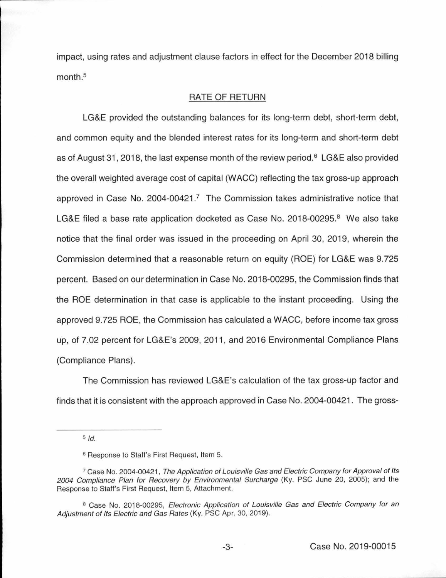impact, using rates and adjustment clause factors in effect for the December 2018 billing month. 5

#### RATE OF RETURN

LG&E provided the outstanding balances for its long-term debt, short-term debt, and common equity and the blended interest rates for its long-term and short-term debt as of August 31, 2018, the last expense month of the review period.<sup>6</sup> LG&E also provided the overall weighted average cost of capital (WACC) reflecting the tax gross-up approach approved in Case No.  $2004$ -00421.<sup>7</sup> The Commission takes administrative notice that LG&E filed a base rate application docketed as Case No. 2018-00295. $8$  We also take notice that the final order was issued in the proceeding on April 30, 2019, wherein the Commission determined that a reasonable return on equity (ROE) for LG&E was 9.725 percent. Based on our determination in Case No. 2018-00295, the Commission finds that the ROE determination in that case is applicable to the instant proceeding. Using the approved 9.725 ROE, the Commission has calculated a WACC, before income tax gross up, of 7.02 percent for LG&E's 2009, 2011 , and 2016 Environmental Compliance Plans (Compliance Plans).

The Commission has reviewed LG&E's calculation of the tax gross-up factor and finds that it is consistent with the approach approved in Case No. 2004-00421. The gross-

 $5/d$ .

<sup>6</sup> Response to Staff's First Request, Item 5.

<sup>1</sup>Case No. 2004-00421, The Application of Louisville Gas and Electric Company for Approval of Its 2004 Compliance Plan for Recovery by Environmental Surcharge (Ky. PSC June 20, 2005); and the Response to Staff's First Request, Item 5, Attachment.

<sup>&</sup>lt;sup>8</sup> Case No. 2018-00295, Electronic Application of Louisville Gas and Electric Company for an Adjustment of Its Electric and Gas Rates (Ky. PSC Apr. 30, 2019).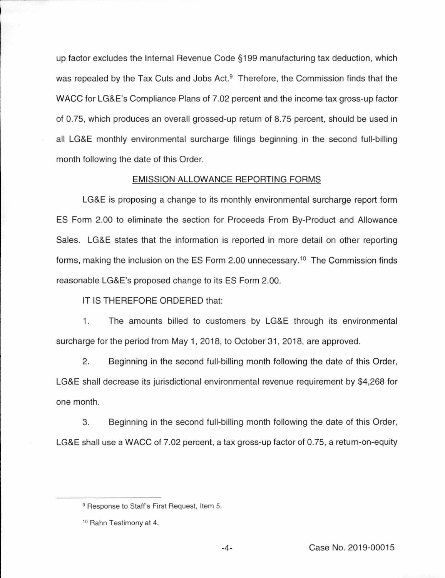up factor excludes the Internal Revenue Code §199 manufacturing tax deduction, which was repealed by the Tax Cuts and Jobs Act.<sup>9</sup> Therefore, the Commission finds that the WACC for LG&E's Compliance Plans of 7.02 percent and the income tax gross-up factor of 0.75, which produces an overall grossed-up return of 8.75 percent, should be used in all LG&E monthly environmental surcharge filings beginning in the second full-billing month following the date of this Order.

## EMISSION ALLOWANCE REPORTING FORMS

LG&E is proposing a change to its monthly environmental surcharge report form ES Form 2.00 to eliminate the section for Proceeds From By-Product and Allowance Sales. LG&E states that the information is reported in more detail on other reporting forms, making the inclusion on the ES Form 2.00 unnecessary.<sup>10</sup> The Commission finds reasonable LG&E's proposed change to its ES Form 2.00.

IT IS THEREFORE ORDERED that:

1. The amounts billed to customers by LG&E through its environmental surcharge for the period from May 1, 2018, to October 31 , 2018, are approved.

2. Beginning in the second full-billing month following the date of this Order, LG&E shall decrease its jurisdictional environmental revenue requirement by \$4,268 for one month.

3. Beginning in the second full-billing month following the date of this Order, LG&E shall use a WACC of 7.02 percent, a tax gross-up factor of 0.75, a return-on-equity

<sup>&</sup>lt;sup>9</sup> Response to Staff's First Request, Item 5.

<sup>&</sup>lt;sup>10</sup> Rahn Testimony at 4.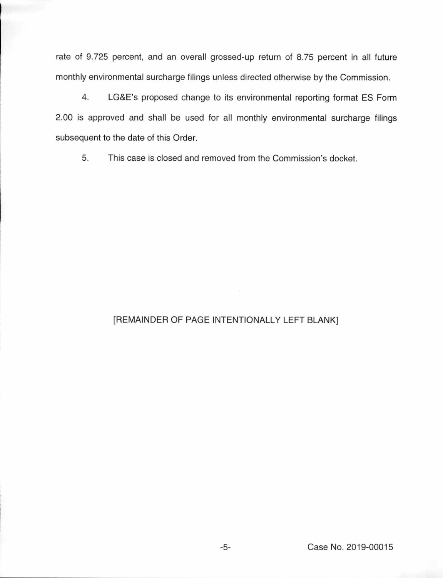rate of 9.725 percent, and an overall grossed-up return of 8.75 percent in all future monthly environmental surcharge filings unless directed otherwise by the Commission.

4. LG&E's proposed change to its environmental reporting format ES Form 2.00 is approved and shall be used for all monthly environmental surcharge filings subsequent to the date of this Order.

5. This case is closed and removed from the Commission's docket.

# [REMAINDER OF PAGE INTENTIONALLY LEFT BLANK]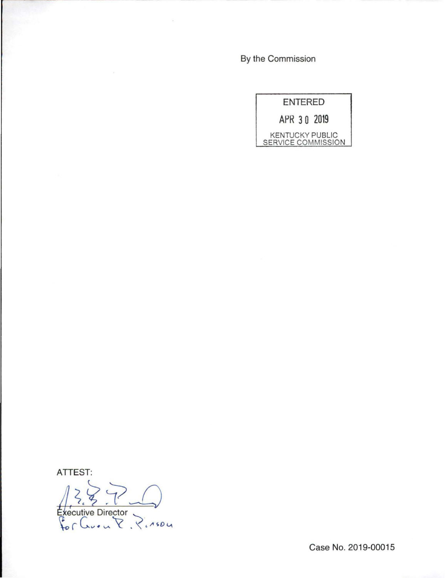By the Commission

| ENTERED                                      |
|----------------------------------------------|
| APR 30 2019                                  |
| <b>KENTUCKY PUBLIC</b><br>SERVICE COMMISSION |

ATTEST:

 $1287$ 

Case No. 2019-00015